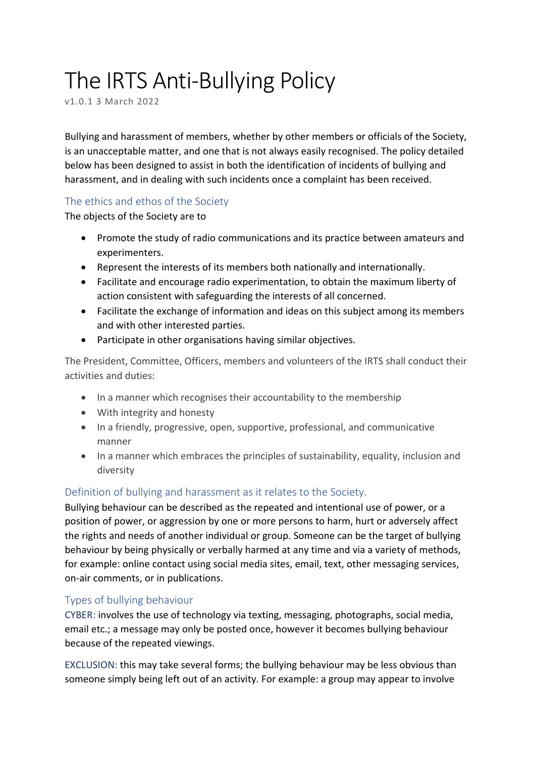# The IRTS Anti-Bullying Policy

v1.0.1 3 March 2022

Bullying and harassment of members, whether by other members or officials of the Society, is an unacceptable matter, and one that is not always easily recognised. The policy detailed below has been designed to assist in both the identification of incidents of bullying and harassment, and in dealing with such incidents once a complaint has been received.

## The ethics and ethos of the Society

The objects of the Society are to

- Promote the study of radio communications and its practice between amateurs and experimenters.
- Represent the interests of its members both nationally and internationally.
- Facilitate and encourage radio experimentation, to obtain the maximum liberty of action consistent with safeguarding the interests of all concerned.
- Facilitate the exchange of information and ideas on this subject among its members and with other interested parties.
- Participate in other organisations having similar objectives.

The President, Committee, Officers, members and volunteers of the IRTS shall conduct their activities and duties:

- In a manner which recognises their accountability to the membership
- With integrity and honesty
- In a friendly, progressive, open, supportive, professional, and communicative manner
- In a manner which embraces the principles of sustainability, equality, inclusion and diversity

# Definition of bullying and harassment as it relates to the Society.

Bullying behaviour can be described as the repeated and intentional use of power, or a position of power, or aggression by one or more persons to harm, hurt or adversely affect the rights and needs of another individual or group. Someone can be the target of bullying behaviour by being physically or verbally harmed at any time and via a variety of methods, for example: online contact using social media sites, email, text, other messaging services, on-air comments, or in publications.

# Types of bullying behaviour

CYBER: involves the use of technology via texting, messaging, photographs, social media, email etc.; a message may only be posted once, however it becomes bullying behaviour because of the repeated viewings.

EXCLUSION: this may take several forms; the bullying behaviour may be less obvious than someone simply being left out of an activity. For example: a group may appear to involve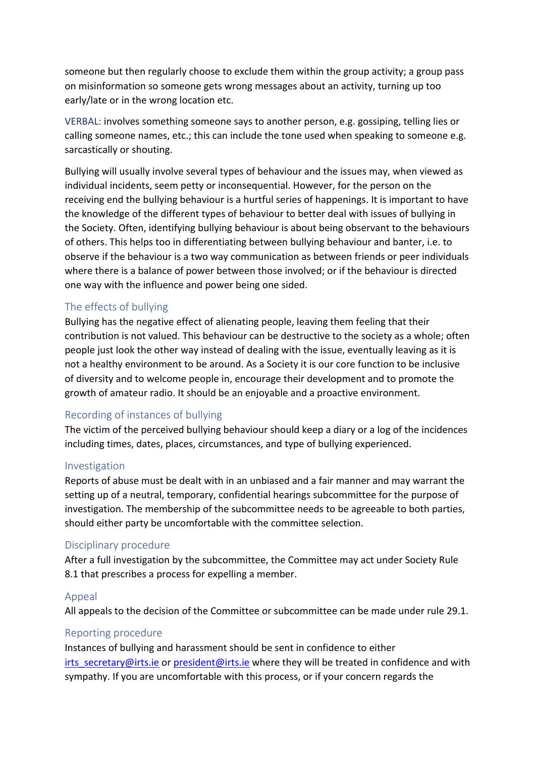someone but then regularly choose to exclude them within the group activity; a group pass on misinformation so someone gets wrong messages about an activity, turning up too early/late or in the wrong location etc.

VERBAL: involves something someone says to another person, e.g. gossiping, telling lies or calling someone names, etc.; this can include the tone used when speaking to someone e.g. sarcastically or shouting.

Bullying will usually involve several types of behaviour and the issues may, when viewed as individual incidents, seem petty or inconsequential. However, for the person on the receiving end the bullying behaviour is a hurtful series of happenings. It is important to have the knowledge of the different types of behaviour to better deal with issues of bullying in the Society. Often, identifying bullying behaviour is about being observant to the behaviours of others. This helps too in differentiating between bullying behaviour and banter, i.e. to observe if the behaviour is a two way communication as between friends or peer individuals where there is a balance of power between those involved; or if the behaviour is directed one way with the influence and power being one sided.

### The effects of bullying

Bullying has the negative effect of alienating people, leaving them feeling that their contribution is not valued. This behaviour can be destructive to the society as a whole; often people just look the other way instead of dealing with the issue, eventually leaving as it is not a healthy environment to be around. As a Society it is our core function to be inclusive of diversity and to welcome people in, encourage their development and to promote the growth of amateur radio. It should be an enjoyable and a proactive environment.

#### Recording of instances of bullying

The victim of the perceived bullying behaviour should keep a diary or a log of the incidences including times, dates, places, circumstances, and type of bullying experienced.

#### Investigation

Reports of abuse must be dealt with in an unbiased and a fair manner and may warrant the setting up of a neutral, temporary, confidential hearings subcommittee for the purpose of investigation. The membership of the subcommittee needs to be agreeable to both parties, should either party be uncomfortable with the committee selection.

#### Disciplinary procedure

After a full investigation by the subcommittee, the Committee may act under Society Rule 8.1 that prescribes a process for expelling a member.

#### Appeal

All appeals to the decision of the Committee or subcommittee can be made under rule 29.1.

#### Reporting procedure

Instances of bullying and harassment should be sent in confidence to either irts secretary@irts.ie or president@irts.ie where they will be treated in confidence and with sympathy. If you are uncomfortable with this process, or if your concern regards the